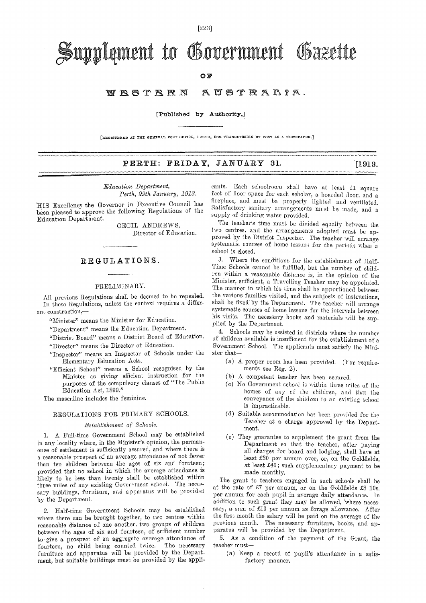$[223]$ 

# Supplement to Government Gazette

OF

#### AUSTRALIA. WRSTRRN

[Published by Authority.]

[REGISTERED AT THE GENERAL POST OFFICE, PERTH, FOR TRANSMISSION BY POST AS A NEWSPAPER.]

### PERTH: FRIDAY, JANUARY 31.

Education Department, Perth, 29th January, 1913.

HIS Excellency the Governor in Executive Council has been pleased to approve the following Regulations of the Education Department.

CECIL ANDREWS. Director of Education.

### REGULATIONS.

#### PRELIMINARY.

All previous Regulations shall be deemed to be repealed. In these Regulations, unless the context requires a different construction,-

"Minister" means the Minister for Education.

"Department" means the Education Department.

"District Board" means a District Board of Education.

"Director" means the Director of Education.

"Inspector" means an Inspector of Schools under the Elementary Education Acts.

"Efficient School" means a School recognised by the Minister as giving efficient instruction for the purposes of the compulsory clauses of "The Public Education Act, 1899."

The masculine includes the feminine.

#### REGULATIONS FOR PRIMARY SCHOOLS.

#### Establishment of Schools.

1. A Full-time Government School may be established in any locality where, in the Minister's opinion, the permanence of settlement is sufficiently assured, and where there is a reasonable prospect of an average attendance of not fewer than ten children between the ages of six and fourteen; provided that no school in which the average attendance is likely to be less than twenty shall be established within three miles of any existing Government school. The necessary buildings, furniture, and apparatus will be provided by the Department.

2. Half-time Government Schools may be established where there can be brought together, to two centres within reasonable distance of one another, two groups of children between the ages of six and fourteen, of sufficient number to give a prospect of an aggregate average attendance of fourteen, no child being counted twice. The necessary furniture and apparatus will be provided by the Department, but suitable buildings must be provided by the appli-

cants. Each schoolroom shall have at least 11 square feet of floor space for each scholar, a boarded floor, and a fireplace, and must be properly lighted and ventilated. Satisfactory sanitary arrangements must be made, and a supply of drinking water provided.

 $[1913,$ 

The teacher's time must be divided equally between the two centres, and the arrangements adopted must be approved by the District Inspector. The teacher will arrange systematic courses of home lessons for the periods when a school is closed.

 $3.$ Where the conditions for the establishment of Half-Time Schools cannot be fulfilled, but the number of children within a reasonable distance is, in the opinion of the Minister, sufficient, a Travelling Teacher may be appointed. The manner in which his time shall be apportioned between the various families visited, and the subjects of instructions. shall be fixed by the Department. The teacher will arrange systematic courses of home lessons for the intervals between his visits. The necessary books and materials will be supplied by the Department.

4. Schools may be assisted in districts where the number of children available is insufficient for the establishment of a Government School. The applicants must satisfy the Minister that-

- (a) A proper room has been provided. (For requirements see Reg. 2).
- (b) A competent teacher has been secured.
- (c) No Government school is within three miles of the homes of any of the children, and that the conveyance of the children to an existing school is impracticable.
- $(d)$  Suitable accommodation has been provided for the Teacher at a charge approved by the Department.
- (e) They guarantee to supplement the grant from the Department so that the teacher, after paying all charges for board and lodging, shall have at least £30 per annum over, or, on the Goldfields. at least £40; such supplementary payment to be made monthly.

The grant to teachers engaged in such schools shall be at the rate of £7 per annum, or on the Goldfields £8 10s. per annum for each pupil in average daily attendance. In addition to such grant they may be allowed, where necessary, a sum of £10 per annum as forage allowance. After the first month the salary will be paid on the average of the previous month. The necessary furniture, books, and apparatus will be provided by the Department.

5. As a condition of the payment of the Grant, the teacher must-

(a) Keep a record of pupil's attendance in a satisfactory manner.